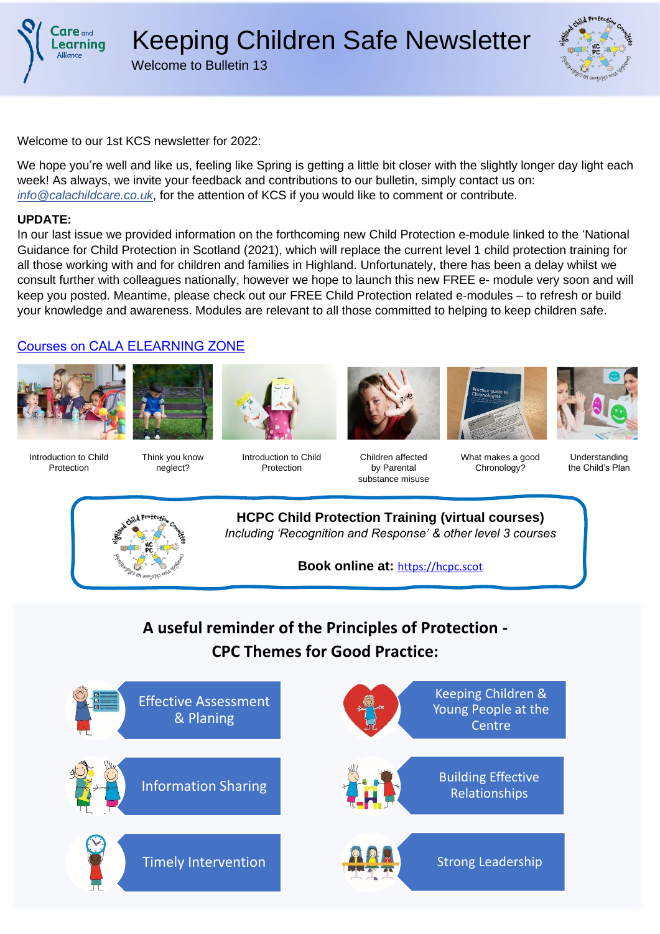



Welcome to our 1st KCS newsletter for 2022:

We hope you're well and like us, feeling like Spring is getting a little bit closer with the slightly longer day light each week! As always, we invite your feedback and contributions to our bulletin, simply contact us on: *info@calachildcare.co.uk*, for the attention of KCS if you would like to comment or contribute.

#### **UPDATE:**

In our last issue we provided information on the forthcoming new Child Protection e-module linked to the 'National Guidance for Child Protection in Scotland (2021), which will replace the current level 1 child protection training for all those working with and for children and families in Highland. Unfortunately, there has been a delay whilst we consult further with colleagues nationally, however we hope to launch this new FREE e- module very soon and will keep you posted. Meantime, please check out our FREE Child Protection related e-modules – to refresh or build your knowledge and awareness. Modules are relevant to all those committed to helping to keep children safe.

### Courses on CALA ELEARNING ZONE







Introduction to Child Protection

Think you know neglect?

Introduction to Child Protection





Chronology?



Children affected by Parental substance misuse What makes a good

Understanding the Child's Plan



**HCPC Child Protection Training (virtual courses)** *Including 'Recognition and Response' & other level 3 courses*

**Book online at:** [https://hcpc.scot](https://hcpc.scot/hcpc.scot)

# **A useful reminder of the Principles of Protection - CPC Themes for Good Practice:**

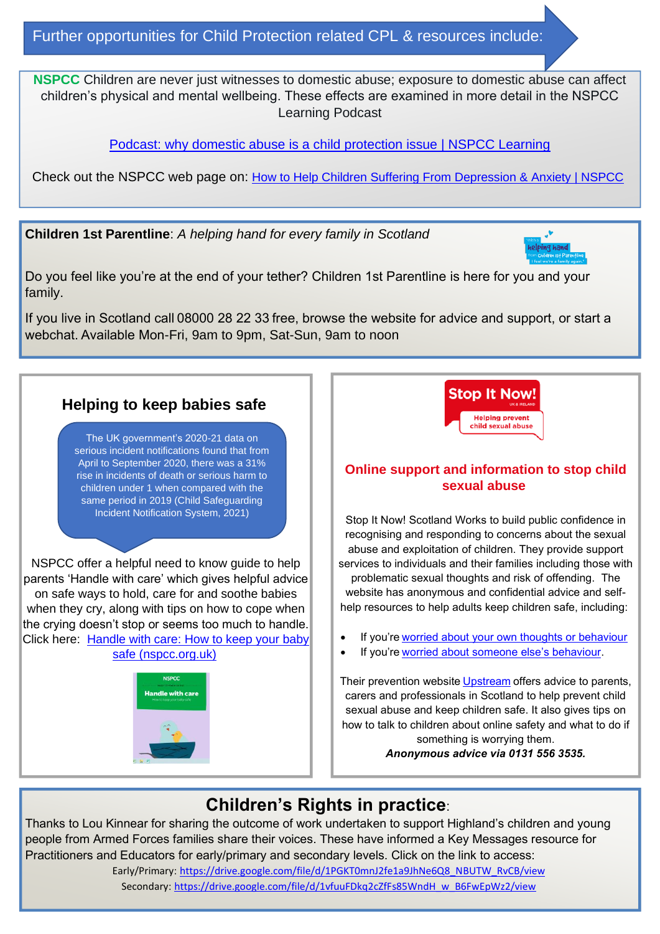Further opportunities for Child Protection related CPL & resources include:

**NSPCC** Children are never just witnesses to domestic abuse; exposure to domestic abuse can affect children's physical and mental wellbeing. These effects are examined in more detail in the NSPCC Learning Podcast

[Podcast: why domestic abuse is a child protection issue | NSPCC Learning](https://learning.nspcc.org.uk/news/2021/july/podcast-domestic-abuse-child-protection-issue?utm_content=buffer125a1&utm_medium=social&utm_source=twitter.com&utm_campaign=buffer)

Check out the NSPCC web page on: [How to Help Children Suffering From Depression & Anxiety | NSPCC](https://www.nspcc.org.uk/keeping-children-safe/childrens-mental-health/depression-anxiety-mental-health/)

**Children 1st Parentline**: *A helping hand for every family in Scotland*



Do you feel like you're at the end of your tether? Children 1st Parentline is here for you and your family.

If you live in Scotland call 08000 28 22 33 free, browse the website for advice and support, or start a webchat. Available Mon-Fri, 9am to 9pm, Sat-Sun, 9am to noon



### **Online support and information to stop child sexual abuse**

Stop It Now! Scotland Works to build public confidence in recognising and responding to concerns about the sexual abuse and exploitation of children. They provide support services to individuals and their families including those with problematic sexual thoughts and risk of offending. The website has anonymous and confidential advice and selfhelp resources to help adults keep children safe, including:

- If you're worried about your own thoughts or behaviour
- If you're worried about someone else's behaviour.

Their prevention website Upstream offers advice to parents, carers and professionals in Scotland to help prevent child sexual abuse and keep children safe. It also gives tips on how to talk to children about online safety and what to do if something is worrying them.

*Anonymous advice via 0131 556 3535.*

# **Children's Rights in practice**:

Thanks to Lou Kinnear for sharing the outcome of work undertaken to support Highland's children and young people from Armed Forces families share their voices. These have informed a Key Messages resource for Practitioners and Educators for early/primary and secondary levels. Click on the link to access: Early/Primary: [https://drive.google.com/file/d/1PGKT0mnJ2fe1a9JhNe6Q8\\_NBUTW\\_RvCB/view](https://drive.google.com/file/d/1PGKT0mnJ2fe1a9JhNe6Q8_NBUTW_RvCB/view) Secondary: [https://drive.google.com/file/d/1vfuuFDkq2cZfFs85WndH\\_w\\_B6FwEpWz2/view](https://drive.google.com/file/d/1vfuuFDkq2cZfFs85WndH_w_B6FwEpWz2/view)